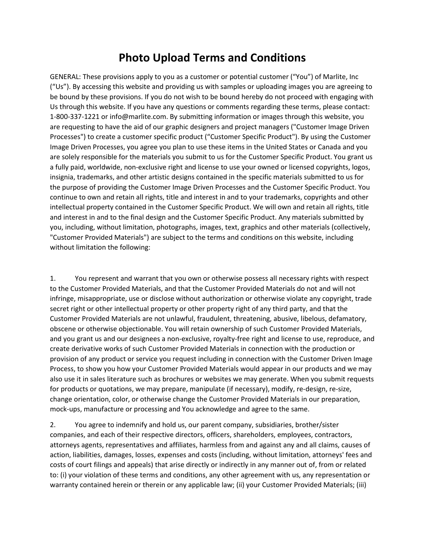## **Photo Upload Terms and Conditions**

GENERAL: These provisions apply to you as a customer or potential customer ("You") of Marlite, Inc ("Us"). By accessing this website and providing us with samples or uploading images you are agreeing to be bound by these provisions. If you do not wish to be bound hereby do not proceed with engaging with Us through this website. If you have any questions or comments regarding these terms, please contact: 1-800-337-1221 or info@marlite.com. By submitting information or images through this website, you are requesting to have the aid of our graphic designers and project managers ("Customer Image Driven Processes") to create a customer specific product ("Customer Specific Product"). By using the Customer Image Driven Processes, you agree you plan to use these items in the United States or Canada and you are solely responsible for the materials you submit to us for the Customer Specific Product. You grant us a fully paid, worldwide, non-exclusive right and license to use your owned or licensed copyrights, logos, insignia, trademarks, and other artistic designs contained in the specific materials submitted to us for the purpose of providing the Customer Image Driven Processes and the Customer Specific Product. You continue to own and retain all rights, title and interest in and to your trademarks, copyrights and other intellectual property contained in the Customer Specific Product. We will own and retain all rights, title and interest in and to the final design and the Customer Specific Product. Any materials submitted by you, including, without limitation, photographs, images, text, graphics and other materials (collectively, "Customer Provided Materials") are subject to the terms and conditions on this website, including without limitation the following:

1. You represent and warrant that you own or otherwise possess all necessary rights with respect to the Customer Provided Materials, and that the Customer Provided Materials do not and will not infringe, misappropriate, use or disclose without authorization or otherwise violate any copyright, trade secret right or other intellectual property or other property right of any third party, and that the Customer Provided Materials are not unlawful, fraudulent, threatening, abusive, libelous, defamatory, obscene or otherwise objectionable. You will retain ownership of such Customer Provided Materials, and you grant us and our designees a non-exclusive, royalty-free right and license to use, reproduce, and create derivative works of such Customer Provided Materials in connection with the production or provision of any product or service you request including in connection with the Customer Driven Image Process, to show you how your Customer Provided Materials would appear in our products and we may also use it in sales literature such as brochures or websites we may generate. When you submit requests for products or quotations, we may prepare, manipulate (if necessary), modify, re-design, re-size, change orientation, color, or otherwise change the Customer Provided Materials in our preparation, mock-ups, manufacture or processing and You acknowledge and agree to the same.

2. You agree to indemnify and hold us, our parent company, subsidiaries, brother/sister companies, and each of their respective directors, officers, shareholders, employees, contractors, attorneys agents, representatives and affiliates, harmless from and against any and all claims, causes of action, liabilities, damages, losses, expenses and costs (including, without limitation, attorneys' fees and costs of court filings and appeals) that arise directly or indirectly in any manner out of, from or related to: (i) your violation of these terms and conditions, any other agreement with us, any representation or warranty contained herein or therein or any applicable law; (ii) your Customer Provided Materials; (iii)